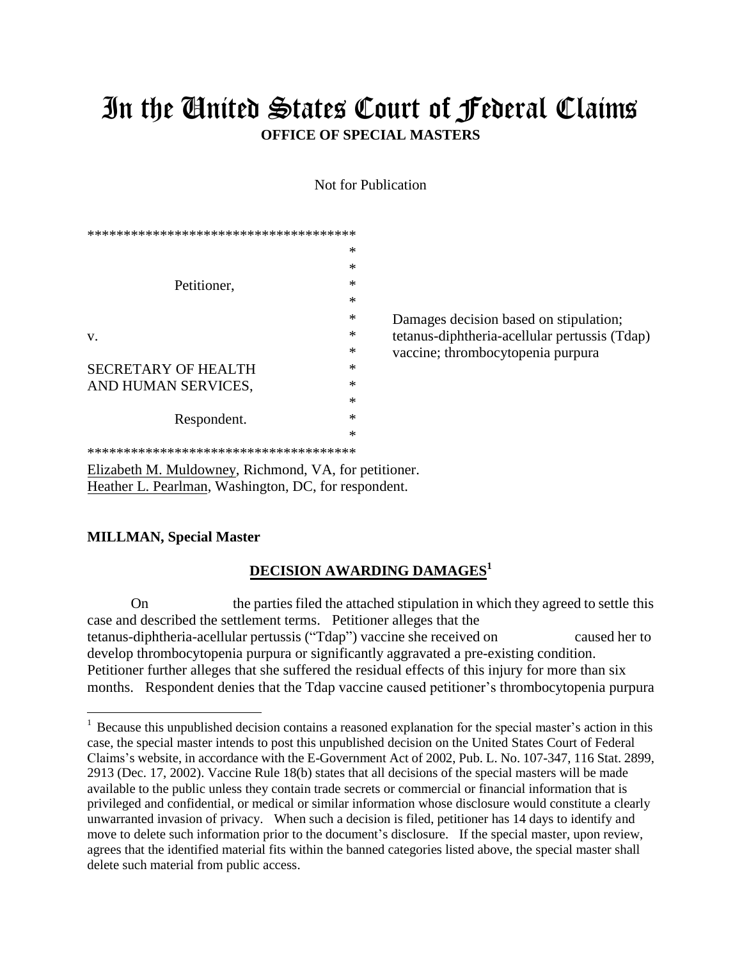## In the United States Court of Federal Claims **OFFICE OF SPECIAL MASTERS**

Not for Publication

| ************************************** |   |                                               |
|----------------------------------------|---|-----------------------------------------------|
|                                        | ∗ |                                               |
| Petitioner,                            | * |                                               |
|                                        | * |                                               |
|                                        | ∗ |                                               |
|                                        | ∗ | Damages decision based on stipulation;        |
| V.                                     | ∗ | tetanus-diphtheria-acellular pertussis (Tdap) |
|                                        | ∗ | vaccine; thrombocytopenia purpura             |
| <b>SECRETARY OF HEALTH</b>             | * |                                               |
| AND HUMAN SERVICES,                    | * |                                               |
| Respondent.                            | * |                                               |
|                                        | * |                                               |
|                                        | ∗ |                                               |
| ********************************       |   |                                               |

Elizabeth M. Muldowney, Richmond, VA, for petitioner. Heather L. Pearlman, Washington, DC, for respondent.

## **MILLMAN, Special Master**

## **DECISION AWARDING DAMAGES<sup>1</sup>**

On the parties filed the attached stipulation in which they agreed to settle this case and described the settlement terms. Petitioner alleges that the tetanus-diphtheria-acellular pertussis ("Tdap") vaccine she received on caused her to develop thrombocytopenia purpura or significantly aggravated a pre-existing condition. Petitioner further alleges that she suffered the residual effects of this injury for more than six months. Respondent denies that the Tdap vaccine caused petitioner's thrombocytopenia purpura

<sup>&</sup>lt;sup>1</sup> Because this unpublished decision contains a reasoned explanation for the special master's action in this case, the special master intends to post this unpublished decision on the United States Court of Federal Claims's website, in accordance with the E-Government Act of 2002, Pub. L. No. 107-347, 116 Stat. 2899, 2913 (Dec. 17, 2002). Vaccine Rule 18(b) states that all decisions of the special masters will be made available to the public unless they contain trade secrets or commercial or financial information that is privileged and confidential, or medical or similar information whose disclosure would constitute a clearly unwarranted invasion of privacy. When such a decision is filed, petitioner has 14 days to identify and move to delete such information prior to the document's disclosure. If the special master, upon review, agrees that the identified material fits within the banned categories listed above, the special master shall delete such material from public access.